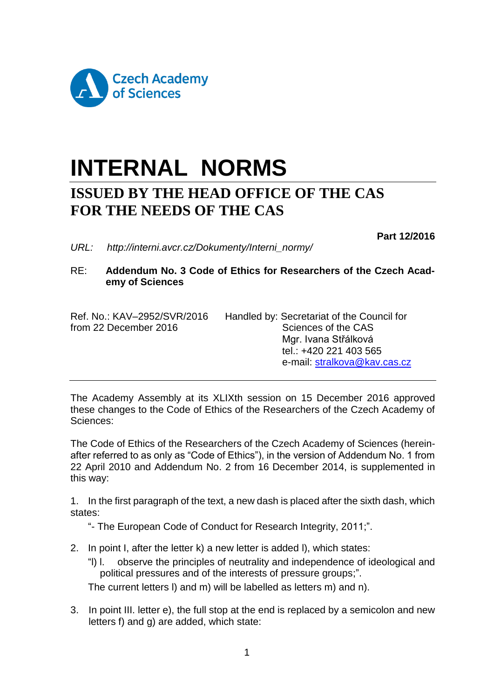

# **INTERNAL NORMS**

# **ISSUED BY THE HEAD OFFICE OF THE CAS FOR THE NEEDS OF THE CAS**

**Part 12/2016**

*URL: http://interni.avcr.cz/Dokumenty/Interni\_normy/* 

# RE: **Addendum No. 3 Code of Ethics for Researchers of the Czech Academy of Sciences**

| Handled by: Secretariat of the Council for |
|--------------------------------------------|
| Sciences of the CAS                        |
| Mgr. Ivana Střálková                       |
| tel.: +420 221 403 565                     |
| e-mail: stralkova@kav.cas.cz               |
|                                            |

The Academy Assembly at its XLIXth session on 15 December 2016 approved these changes to the Code of Ethics of the Researchers of the Czech Academy of Sciences:

The Code of Ethics of the Researchers of the Czech Academy of Sciences (hereinafter referred to as only as "Code of Ethics"), in the version of Addendum No. 1 from 22 April 2010 and Addendum No. 2 from 16 December 2014, is supplemented in this way:

1. In the first paragraph of the text, a new dash is placed after the sixth dash, which states:

"- The European Code of Conduct for Research Integrity, 2011;".

- 2. In point I, after the letter k) a new letter is added l), which states:
	- "l) l. observe the principles of neutrality and independence of ideological and political pressures and of the interests of pressure groups;".

The current letters l) and m) will be labelled as letters m) and n).

3. In point III. letter e), the full stop at the end is replaced by a semicolon and new letters f) and g) are added, which state: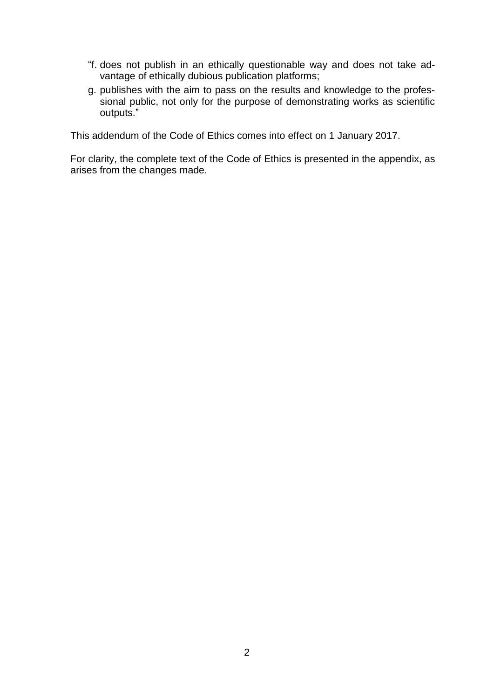- "f. does not publish in an ethically questionable way and does not take advantage of ethically dubious publication platforms;
- g. publishes with the aim to pass on the results and knowledge to the professional public, not only for the purpose of demonstrating works as scientific outputs."

This addendum of the Code of Ethics comes into effect on 1 January 2017.

For clarity, the complete text of the Code of Ethics is presented in the appendix, as arises from the changes made.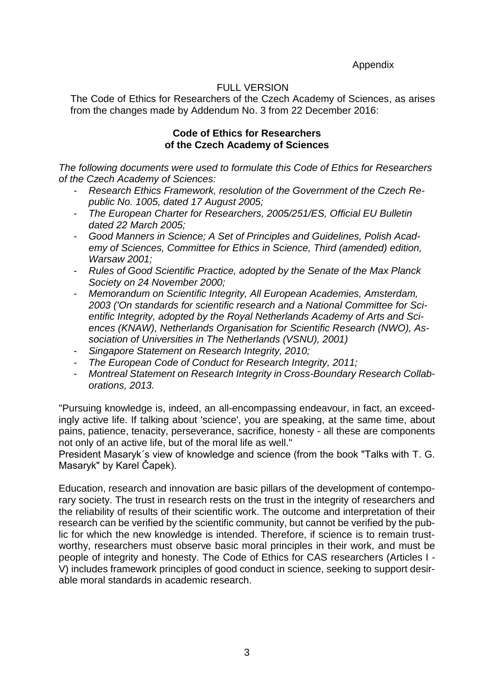#### Appendix

# FULL VERSION

The Code of Ethics for Researchers of the Czech Academy of Sciences, as arises from the changes made by Addendum No. 3 from 22 December 2016:

#### **Code of Ethics for Researchers of the Czech Academy of Sciences**

*The following documents were used to formulate this Code of Ethics for Researchers of the Czech Academy of Sciences:*

- *Research Ethics Framework, resolution of the Government of the Czech Republic No. 1005, dated 17 August 2005;*
- *The European Charter for Researchers, 2005/251/ES, Official EU Bulletin dated 22 March 2005;*
- *Good Manners in Science; A Set of Principles and Guidelines, Polish Academy of Sciences, Committee for Ethics in Science, Third (amended) edition, Warsaw 2001;*
- *Rules of Good Scientific Practice, adopted by the Senate of the Max Planck Society on 24 November 2000;*
- *Memorandum on Scientific Integrity, All European Academies, Amsterdam, 2003 ('On standards for scientific research and a National Committee for Scientific Integrity, adopted by the Royal Netherlands Academy of Arts and Sciences (KNAW), Netherlands Organisation for Scientific Research (NWO), Association of Universities in The Netherlands (VSNU), 2001)*
- *Singapore Statement on Research Integrity, 2010;*
- *The European Code of Conduct for Research Integrity, 2011;*
- *Montreal Statement on Research Integrity in Cross-Boundary Research Collaborations, 2013.*

"Pursuing knowledge is, indeed, an all-encompassing endeavour, in fact, an exceedingly active life. If talking about 'science', you are speaking, at the same time, about pains, patience, tenacity, perseverance, sacrifice, honesty - all these are components not only of an active life, but of the moral life as well."

President Masaryk´s view of knowledge and science (from the book "Talks with T. G. Masaryk" by Karel Čapek).

Education, research and innovation are basic pillars of the development of contemporary society. The trust in research rests on the trust in the integrity of researchers and the reliability of results of their scientific work. The outcome and interpretation of their research can be verified by the scientific community, but cannot be verified by the public for which the new knowledge is intended. Therefore, if science is to remain trustworthy, researchers must observe basic moral principles in their work, and must be people of integrity and honesty. The Code of Ethics for CAS researchers (Articles I - V) includes framework principles of good conduct in science, seeking to support desirable moral standards in academic research.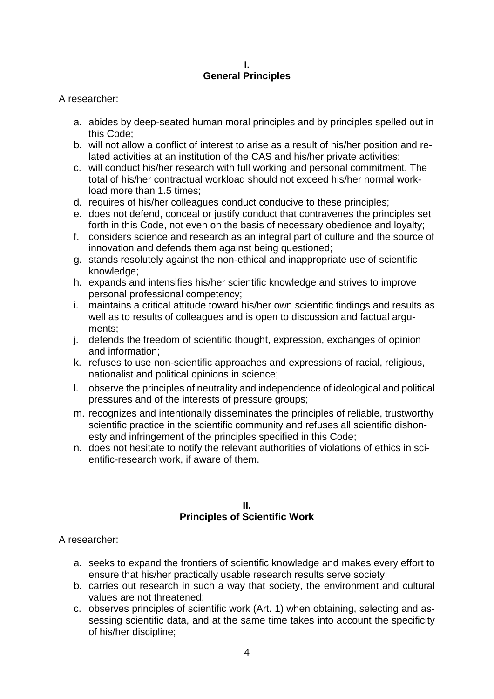#### **I. General Principles**

A researcher:

- a. abides by deep-seated human moral principles and by principles spelled out in this Code;
- b. will not allow a conflict of interest to arise as a result of his/her position and related activities at an institution of the CAS and his/her private activities;
- c. will conduct his/her research with full working and personal commitment. The total of his/her contractual workload should not exceed his/her normal workload more than 1.5 times;
- d. requires of his/her colleagues conduct conducive to these principles;
- e. does not defend, conceal or justify conduct that contravenes the principles set forth in this Code, not even on the basis of necessary obedience and loyalty;
- f. considers science and research as an integral part of culture and the source of innovation and defends them against being questioned;
- g. stands resolutely against the non-ethical and inappropriate use of scientific knowledge;
- h. expands and intensifies his/her scientific knowledge and strives to improve personal professional competency;
- i. maintains a critical attitude toward his/her own scientific findings and results as well as to results of colleagues and is open to discussion and factual arguments;
- j. defends the freedom of scientific thought, expression, exchanges of opinion and information;
- k. refuses to use non-scientific approaches and expressions of racial, religious, nationalist and political opinions in science;
- l. observe the principles of neutrality and independence of ideological and political pressures and of the interests of pressure groups;
- m. recognizes and intentionally disseminates the principles of reliable, trustworthy scientific practice in the scientific community and refuses all scientific dishonesty and infringement of the principles specified in this Code;
- n. does not hesitate to notify the relevant authorities of violations of ethics in scientific-research work, if aware of them.

## **II. Principles of Scientific Work**

A researcher:

- a. seeks to expand the frontiers of scientific knowledge and makes every effort to ensure that his/her practically usable research results serve society;
- b. carries out research in such a way that society, the environment and cultural values are not threatened;
- c. observes principles of scientific work (Art. 1) when obtaining, selecting and assessing scientific data, and at the same time takes into account the specificity of his/her discipline;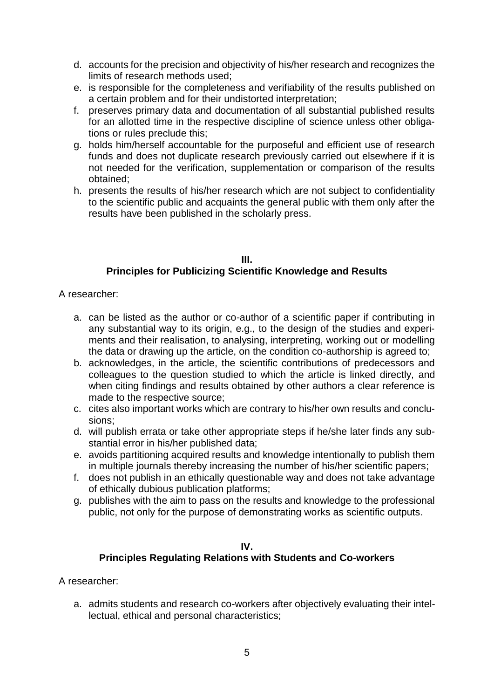- d. accounts for the precision and objectivity of his/her research and recognizes the limits of research methods used;
- e. is responsible for the completeness and verifiability of the results published on a certain problem and for their undistorted interpretation;
- f. preserves primary data and documentation of all substantial published results for an allotted time in the respective discipline of science unless other obligations or rules preclude this;
- g. holds him/herself accountable for the purposeful and efficient use of research funds and does not duplicate research previously carried out elsewhere if it is not needed for the verification, supplementation or comparison of the results obtained;
- h. presents the results of his/her research which are not subject to confidentiality to the scientific public and acquaints the general public with them only after the results have been published in the scholarly press.

#### **III. Principles for Publicizing Scientific Knowledge and Results**

A researcher:

- a. can be listed as the author or co-author of a scientific paper if contributing in any substantial way to its origin, e.g., to the design of the studies and experiments and their realisation, to analysing, interpreting, working out or modelling the data or drawing up the article, on the condition co-authorship is agreed to;
- b. acknowledges, in the article, the scientific contributions of predecessors and colleagues to the question studied to which the article is linked directly, and when citing findings and results obtained by other authors a clear reference is made to the respective source;
- c. cites also important works which are contrary to his/her own results and conclusions;
- d. will publish errata or take other appropriate steps if he/she later finds any substantial error in his/her published data;
- e. avoids partitioning acquired results and knowledge intentionally to publish them in multiple journals thereby increasing the number of his/her scientific papers;
- f. does not publish in an ethically questionable way and does not take advantage of ethically dubious publication platforms;
- g. publishes with the aim to pass on the results and knowledge to the professional public, not only for the purpose of demonstrating works as scientific outputs.

# **IV.**

# **Principles Regulating Relations with Students and Co-workers**

A researcher:

a. admits students and research co-workers after objectively evaluating their intellectual, ethical and personal characteristics;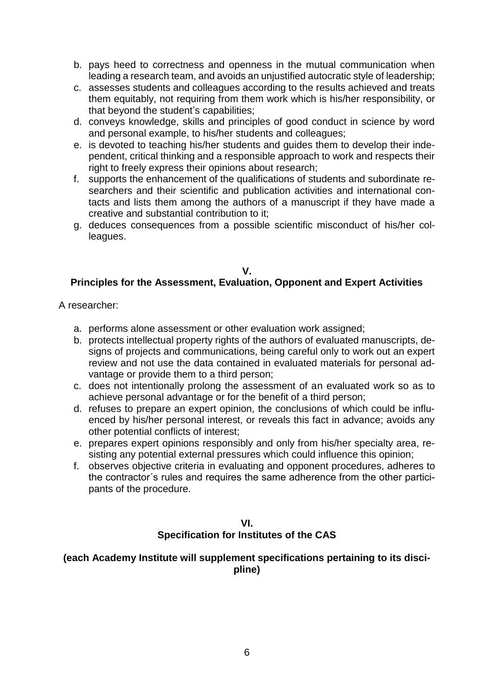- b. pays heed to correctness and openness in the mutual communication when leading a research team, and avoids an unjustified autocratic style of leadership;
- c. assesses students and colleagues according to the results achieved and treats them equitably, not requiring from them work which is his/her responsibility, or that beyond the student's capabilities;
- d. conveys knowledge, skills and principles of good conduct in science by word and personal example, to his/her students and colleagues;
- e. is devoted to teaching his/her students and guides them to develop their independent, critical thinking and a responsible approach to work and respects their right to freely express their opinions about research;
- f. supports the enhancement of the qualifications of students and subordinate researchers and their scientific and publication activities and international contacts and lists them among the authors of a manuscript if they have made a creative and substantial contribution to it;
- g. deduces consequences from a possible scientific misconduct of his/her colleagues.

# **V.**

# **Principles for the Assessment, Evaluation, Opponent and Expert Activities**

A researcher:

- a. performs alone assessment or other evaluation work assigned;
- b. protects intellectual property rights of the authors of evaluated manuscripts, designs of projects and communications, being careful only to work out an expert review and not use the data contained in evaluated materials for personal advantage or provide them to a third person;
- c. does not intentionally prolong the assessment of an evaluated work so as to achieve personal advantage or for the benefit of a third person;
- d. refuses to prepare an expert opinion, the conclusions of which could be influenced by his/her personal interest, or reveals this fact in advance; avoids any other potential conflicts of interest;
- e. prepares expert opinions responsibly and only from his/her specialty area, resisting any potential external pressures which could influence this opinion;
- f. observes objective criteria in evaluating and opponent procedures, adheres to the contractor´s rules and requires the same adherence from the other participants of the procedure.

## **VI. Specification for Institutes of the CAS**

#### **(each Academy Institute will supplement specifications pertaining to its discipline)**